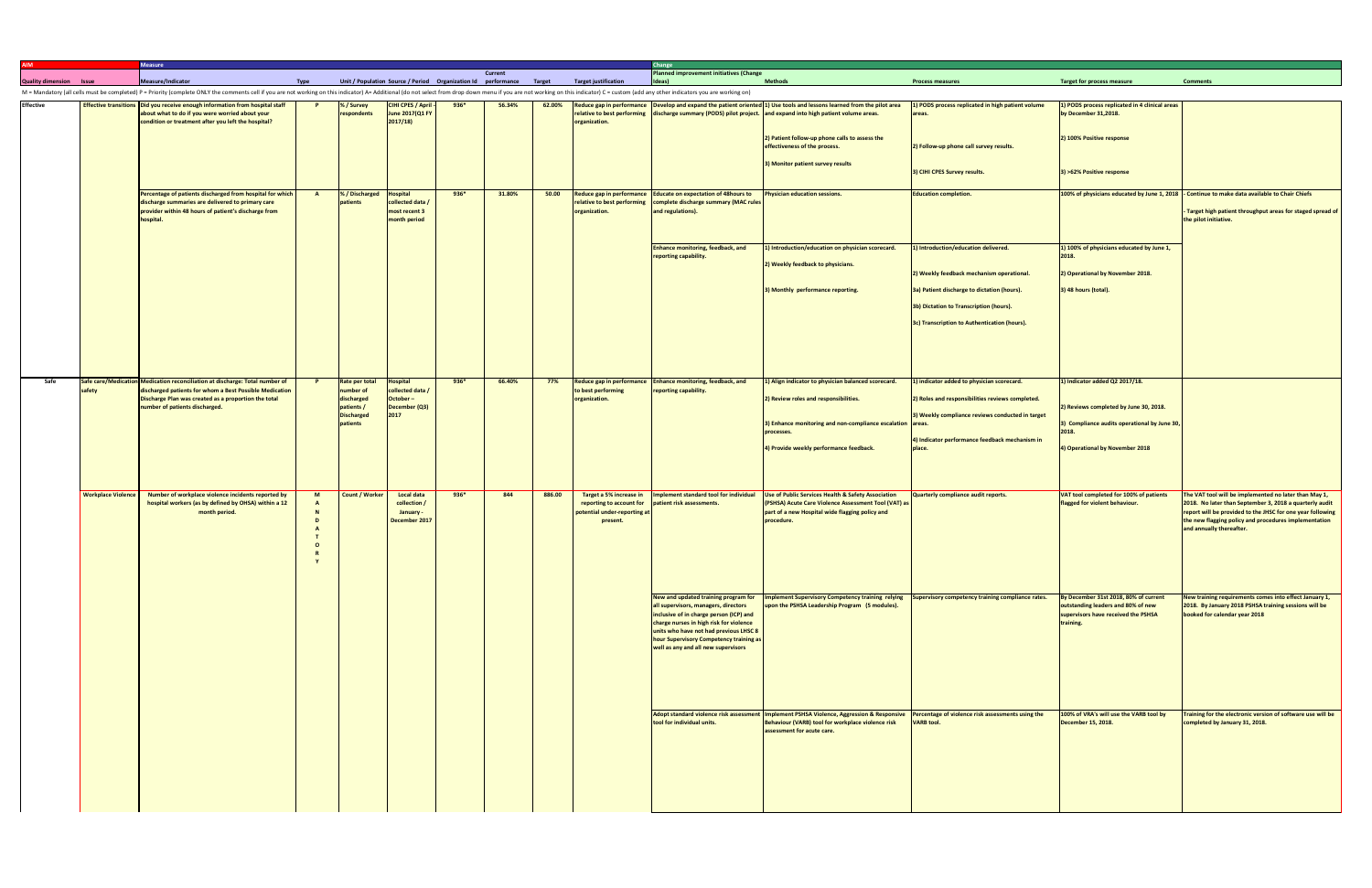|                                |                           | <b>Measure</b>                                                                                                                                                                                                                 |                               |                                                                      |        |         |        |                                                                                                 | Change                                                                                                                                                                                                                                                 |                                                                                                                                                                                                                                                 |                                                                                          |                                                                                                                                 |                                                                                                                                                                                                                                                                     |
|--------------------------------|---------------------------|--------------------------------------------------------------------------------------------------------------------------------------------------------------------------------------------------------------------------------|-------------------------------|----------------------------------------------------------------------|--------|---------|--------|-------------------------------------------------------------------------------------------------|--------------------------------------------------------------------------------------------------------------------------------------------------------------------------------------------------------------------------------------------------------|-------------------------------------------------------------------------------------------------------------------------------------------------------------------------------------------------------------------------------------------------|------------------------------------------------------------------------------------------|---------------------------------------------------------------------------------------------------------------------------------|---------------------------------------------------------------------------------------------------------------------------------------------------------------------------------------------------------------------------------------------------------------------|
| <b>Quality dimension Issue</b> |                           | Measure/Indicator<br><b>Type</b>                                                                                                                                                                                               |                               |                                                                      |        | Current |        | Unit / Population Source / Period Organization Id performance Target Target justification       | <b>Planned improvement initiatives (Change</b><br>Ideas)                                                                                                                                                                                               | <b>Methods</b>                                                                                                                                                                                                                                  | <b>Process measures</b>                                                                  | <b>Target for process measure</b>                                                                                               | <b>Comments</b>                                                                                                                                                                                                                                                     |
|                                |                           | M = Mandatory (all cells must be completed) P = Priority (complete ONLY the comments cell if you are not working on this indicator) A= Additional (do not select from drop down menu if you are not working on this indicator) |                               |                                                                      |        |         |        |                                                                                                 |                                                                                                                                                                                                                                                        |                                                                                                                                                                                                                                                 |                                                                                          |                                                                                                                                 |                                                                                                                                                                                                                                                                     |
| <b>Effective</b>               |                           | Effective transitions Did you receive enough information from hospital staff<br>about what to do if you were worried about your<br>condition or treatment after you left the hospital?                                         | % / Survey<br>respondents     | CIHI CPES / April -<br>June 2017(Q1 FY<br>2017/18                    | $936*$ | 56.34%  |        | organization.                                                                                   |                                                                                                                                                                                                                                                        | 62.00% Reduce gap in performance Develop and expand the patient oriented 1) Use tools and lessons learned from the pilot area<br>relative to best performing discharge summary (PODS) pilot project. and expand into high patient volume areas. | 1) PODS process replicated in high patient volume<br>areas.                              | 1) PODS process replicated in 4 clinical areas<br>by December 31,2018.                                                          |                                                                                                                                                                                                                                                                     |
|                                |                           |                                                                                                                                                                                                                                |                               |                                                                      |        |         |        |                                                                                                 |                                                                                                                                                                                                                                                        | 2) Patient follow-up phone calls to assess the<br>effectiveness of the process.                                                                                                                                                                 | 2) Follow-up phone call survey results.                                                  | 2) 100% Positive response                                                                                                       |                                                                                                                                                                                                                                                                     |
|                                |                           |                                                                                                                                                                                                                                |                               |                                                                      |        |         |        |                                                                                                 |                                                                                                                                                                                                                                                        | 3) Monitor patient survey results                                                                                                                                                                                                               | 3) CIHI CPES Survey results.                                                             | 3) >62% Positive response                                                                                                       |                                                                                                                                                                                                                                                                     |
|                                |                           | Percentage of patients discharged from hospital for which<br>$\overline{A}$<br>discharge summaries are delivered to primary care<br>provider within 48 hours of patient's discharge from<br>nospital.                          | % / Discharged<br>patients    | <b>Hospital</b><br>collected data /<br>most recent 3<br>month period | $936*$ | 31.80%  | 50.00  | relative to best performing<br>organization.                                                    | Reduce gap in performance Educate on expectation of 48hours to<br>complete discharge summary (MAC rules<br>and regulations).                                                                                                                           | <b>Physician education sessions.</b>                                                                                                                                                                                                            | <b>Education completion.</b>                                                             |                                                                                                                                 | 100% of physicians educated by June 1, 2018 - Continue to make data available to Chair Chiefs<br>Target high patient throughput areas for staged spread of<br>the pilot initiative.                                                                                 |
|                                |                           |                                                                                                                                                                                                                                |                               |                                                                      |        |         |        |                                                                                                 | <b>Enhance monitoring, feedback, and</b><br>reporting capability.                                                                                                                                                                                      | 1) Introduction/education on physician scorecard.<br>2) Weekly feedback to physicians.                                                                                                                                                          | 1) Introduction/education delivered.                                                     | 1) 100% of physicians educated by June 1,<br>2018.                                                                              |                                                                                                                                                                                                                                                                     |
|                                |                           |                                                                                                                                                                                                                                |                               |                                                                      |        |         |        |                                                                                                 |                                                                                                                                                                                                                                                        | 3) Monthly performance reporting.                                                                                                                                                                                                               | 2) Weekly feedback mechanism operational.<br>3a) Patient discharge to dictation (hours). | 2) Operational by November 2018.<br>3) 48 hours (total).                                                                        |                                                                                                                                                                                                                                                                     |
|                                |                           |                                                                                                                                                                                                                                |                               |                                                                      |        |         |        |                                                                                                 |                                                                                                                                                                                                                                                        |                                                                                                                                                                                                                                                 | 3b) Dictation to Transcription (hours).                                                  |                                                                                                                                 |                                                                                                                                                                                                                                                                     |
|                                |                           |                                                                                                                                                                                                                                |                               |                                                                      |        |         |        |                                                                                                 |                                                                                                                                                                                                                                                        |                                                                                                                                                                                                                                                 | 3c) Transcription to Authentication (hours).                                             |                                                                                                                                 |                                                                                                                                                                                                                                                                     |
|                                |                           |                                                                                                                                                                                                                                |                               |                                                                      |        |         |        |                                                                                                 |                                                                                                                                                                                                                                                        |                                                                                                                                                                                                                                                 |                                                                                          |                                                                                                                                 |                                                                                                                                                                                                                                                                     |
| Safe                           | safety                    | Safe care/Medication Medication reconciliation at discharge: Total number of<br>discharged patients for whom a Best Possible Medication                                                                                        | Rate per total<br>number of   | <b>Hospital</b><br>collected data /                                  | $936*$ | 66.40%  | 77%    | to best performing                                                                              | Reduce gap in performance Enhance monitoring, feedback, and<br>reporting capability.                                                                                                                                                                   | 1) Align indicator to physician balanced scorecard.                                                                                                                                                                                             | 1) indicator added to physician scorecard.                                               | 1) Indicator added Q2 2017/18.                                                                                                  |                                                                                                                                                                                                                                                                     |
|                                |                           | Discharge Plan was created as a proportion the total<br>number of patients discharged.                                                                                                                                         | discharged<br>patients /      | October-<br>December (Q3)                                            |        |         |        | organization.                                                                                   |                                                                                                                                                                                                                                                        | 2) Review roles and responsibilities.                                                                                                                                                                                                           | 2) Roles and responsibilities reviews completed.                                         | 2) Reviews completed by June 30, 2018.                                                                                          |                                                                                                                                                                                                                                                                     |
|                                |                           |                                                                                                                                                                                                                                | <b>Discharged</b><br>patients | 2017                                                                 |        |         |        |                                                                                                 |                                                                                                                                                                                                                                                        | 3) Enhance monitoring and non-compliance escalation areas.                                                                                                                                                                                      | 3) Weekly compliance reviews conducted in target                                         | 3) Compliance audits operational by June 30,                                                                                    |                                                                                                                                                                                                                                                                     |
|                                |                           |                                                                                                                                                                                                                                |                               |                                                                      |        |         |        |                                                                                                 |                                                                                                                                                                                                                                                        | processes.<br>4) Provide weekly performance feedback.                                                                                                                                                                                           | 4) Indicator performance feedback mechanism in<br>place.                                 | 2018.<br>4) Operational by November 2018                                                                                        |                                                                                                                                                                                                                                                                     |
|                                |                           |                                                                                                                                                                                                                                |                               |                                                                      |        |         |        |                                                                                                 |                                                                                                                                                                                                                                                        |                                                                                                                                                                                                                                                 |                                                                                          |                                                                                                                                 |                                                                                                                                                                                                                                                                     |
|                                |                           |                                                                                                                                                                                                                                |                               |                                                                      |        |         |        |                                                                                                 |                                                                                                                                                                                                                                                        |                                                                                                                                                                                                                                                 |                                                                                          |                                                                                                                                 |                                                                                                                                                                                                                                                                     |
|                                | <b>Workplace Violence</b> | Number of workplace violence incidents reported by<br>M<br>hospital workers (as by defined by OHSA) within a 12<br>month period.                                                                                               | <b>Count / Worker</b>         | <b>Local data</b><br>collection /<br>January -<br>December 2017      | $936*$ | 844     | 886.00 | Target a 5% increase in<br>reporting to account for<br>potential under-reporting at<br>present. | patient risk assessments.                                                                                                                                                                                                                              | Implement standard tool for individual Use of Public Services Health & Safety Association<br>(PSHSA) Acute Care Violence Assessment Tool (VAT) as<br>part of a new Hospital wide flagging policy and<br>procedure.                              | Quarterly compliance audit reports.                                                      | VAT tool completed for 100% of patients<br>flagged for violent behaviour.                                                       | The VAT tool will be implemented no later than May 1,<br>2018. No later than September 3, 2018 a quarterly audit<br>report will be provided to the JHSC for one year following<br>the new flagging policy and procedures implementation<br>and annually thereafter. |
|                                |                           |                                                                                                                                                                                                                                |                               |                                                                      |        |         |        |                                                                                                 |                                                                                                                                                                                                                                                        |                                                                                                                                                                                                                                                 |                                                                                          |                                                                                                                                 |                                                                                                                                                                                                                                                                     |
|                                |                           |                                                                                                                                                                                                                                |                               |                                                                      |        |         |        |                                                                                                 | all supervisors, managers, directors<br>inclusive of in charge person (ICP) and<br>charge nurses in high risk for violence<br>units who have not had previous LHSC 8<br>hour Supervisory Competency training as<br>well as any and all new supervisors | New and updated training program for   Implement Supervisory Competency training relying<br>upon the PSHSA Leadership Program (5 modules).                                                                                                      | Supervisory competency training compliance rates.                                        | By December 31st 2018, 80% of current<br>outstanding leaders and 80% of new<br>supervisors have received the PSHSA<br>training. | New training requirements comes into effect January 1,<br>2018. By January 2018 PSHSA training sessions will be<br>booked for calendar year 2018                                                                                                                    |
|                                |                           |                                                                                                                                                                                                                                |                               |                                                                      |        |         |        |                                                                                                 |                                                                                                                                                                                                                                                        |                                                                                                                                                                                                                                                 |                                                                                          |                                                                                                                                 |                                                                                                                                                                                                                                                                     |
|                                |                           |                                                                                                                                                                                                                                |                               |                                                                      |        |         |        |                                                                                                 | tool for individual units.                                                                                                                                                                                                                             | Adopt standard violence risk assessment Implement PSHSA Violence, Aggression & Responsive<br>Behaviour (VARB) tool for workplace violence risk<br>assessment for acute care.                                                                    | Percentage of violence risk assessments using the<br><b>VARB tool.</b>                   | 100% of VRA's will use the VARB tool by<br>December 15, 2018.                                                                   | Training for the electronic version of software use will be<br>completed by January 31, 2018.                                                                                                                                                                       |
|                                |                           |                                                                                                                                                                                                                                |                               |                                                                      |        |         |        |                                                                                                 |                                                                                                                                                                                                                                                        |                                                                                                                                                                                                                                                 |                                                                                          |                                                                                                                                 |                                                                                                                                                                                                                                                                     |